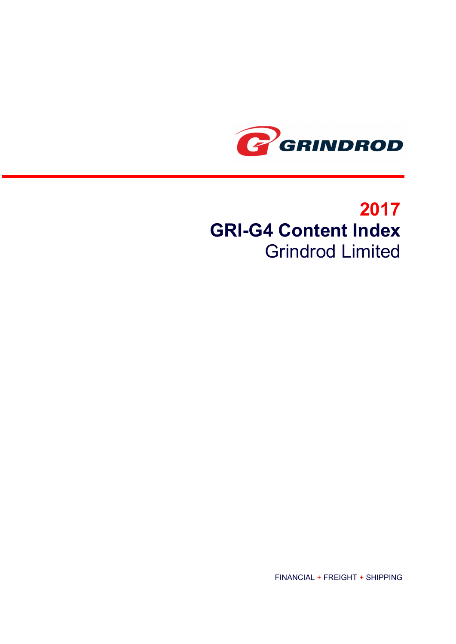

## 2017 GRI-G4 Content Index Grindrod Limited

FINANCIAL + FREIGHT + SHIPPING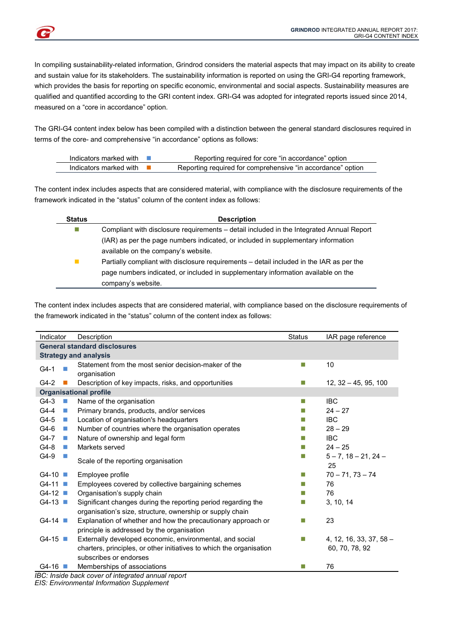

In compiling sustainability-related information, Grindrod considers the material aspects that may impact on its ability to create and sustain value for its stakeholders. The sustainability information is reported on using the GRI-G4 reporting framework, which provides the basis for reporting on specific economic, environmental and social aspects. Sustainability measures are qualified and quantified according to the GRI content index. GRI-G4 was adopted for integrated reports issued since 2014, measured on a "core in accordance" option.

The GRI-G4 content index below has been compiled with a distinction between the general standard disclosures required in terms of the core- and comprehensive "in accordance" options as follows:

| Indicators marked with | Reporting required for core "in accordance" option          |
|------------------------|-------------------------------------------------------------|
| Indicators marked with | Reporting required for comprehensive "in accordance" option |

The content index includes aspects that are considered material, with compliance with the disclosure requirements of the framework indicated in the "status" column of the content index as follows:

| <b>Status</b>               | <b>Description</b>                                                                       |  |  |
|-----------------------------|------------------------------------------------------------------------------------------|--|--|
| П                           | Compliant with disclosure requirements – detail included in the Integrated Annual Report |  |  |
|                             | (IAR) as per the page numbers indicated, or included in supplementary information        |  |  |
|                             | available on the company's website.                                                      |  |  |
| $\mathcal{C}^{\mathcal{A}}$ | Partially compliant with disclosure requirements – detail included in the IAR as per the |  |  |
|                             | page numbers indicated, or included in supplementary information available on the        |  |  |
|                             | company's website.                                                                       |  |  |

The content index includes aspects that are considered material, with compliance based on the disclosure requirements of the framework indicated in the "status" column of the content index as follows:

| Indicator                             | Description                                                                                                                | <b>Status</b> | IAR page reference                 |
|---------------------------------------|----------------------------------------------------------------------------------------------------------------------------|---------------|------------------------------------|
|                                       | <b>General standard disclosures</b>                                                                                        |               |                                    |
|                                       | <b>Strategy and analysis</b>                                                                                               |               |                                    |
| $G4-1$<br>П                           | Statement from the most senior decision-maker of the<br>organisation                                                       | m,            | 10                                 |
| $G4-2$                                | Description of key impacts, risks, and opportunities                                                                       |               | $12, 32 - 45, 95, 100$             |
|                                       | <b>Organisational profile</b>                                                                                              |               |                                    |
| $G4-3$<br>×                           | Name of the organisation                                                                                                   | m.            | <b>IBC</b>                         |
| $G4-4$<br>$\mathcal{L}_{\mathcal{A}}$ | Primary brands, products, and/or services                                                                                  |               | $24 - 27$                          |
| $G4-5$<br>$\mathcal{L}_{\mathcal{A}}$ | Location of organisation's headquarters                                                                                    |               | <b>IBC</b>                         |
| $G4-6$<br>$\mathcal{L}_{\mathcal{A}}$ | Number of countries where the organisation operates                                                                        |               | $28 - 29$                          |
| $G4-7$<br>$\mathcal{L}_{\mathcal{A}}$ | Nature of ownership and legal form                                                                                         |               | <b>IBC</b>                         |
| G4-8<br><b>COL</b>                    | Markets served                                                                                                             |               | $24 - 25$                          |
| G4-9                                  | Scale of the reporting organisation                                                                                        |               | $5 - 7$ , $18 - 21$ , $24 -$<br>25 |
| $G4-10$                               | Employee profile                                                                                                           |               | $70 - 71$ , $73 - 74$              |
| $G4-11$                               | Employees covered by collective bargaining schemes                                                                         |               | 76                                 |
| $G4-12$                               | Organisation's supply chain                                                                                                |               | 76                                 |
| $G4-13$                               | Significant changes during the reporting period regarding the<br>organisation's size, structure, ownership or supply chain |               | 3, 10, 14                          |
| $G4-14$                               | Explanation of whether and how the precautionary approach or<br>principle is addressed by the organisation                 | П             | 23                                 |
| $G4-15$                               | Externally developed economic, environmental, and social                                                                   |               | $4, 12, 16, 33, 37, 58 -$          |
|                                       | charters, principles, or other initiatives to which the organisation                                                       |               | 60, 70, 78, 92                     |
|                                       | subscribes or endorses                                                                                                     |               |                                    |
| $G4-16$                               | Memberships of associations                                                                                                |               | 76                                 |

IBC: Inside back cover of integrated annual report

EIS: Environmental Information Supplement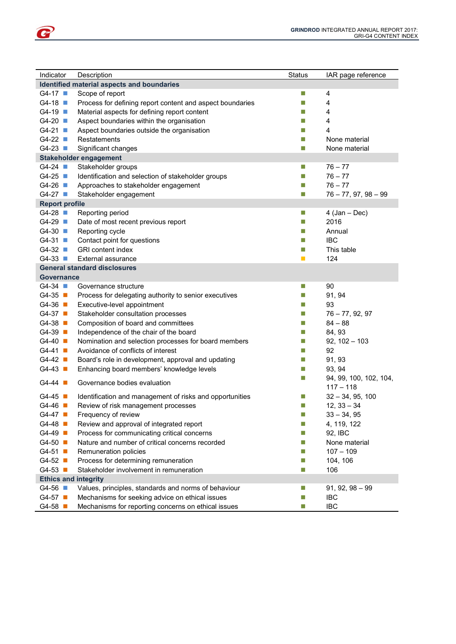| Indicator                                  | Description                                               | <b>Status</b>               | IAR page reference     |
|--------------------------------------------|-----------------------------------------------------------|-----------------------------|------------------------|
| Identified material aspects and boundaries |                                                           |                             |                        |
| $G4-17$                                    | Scope of report                                           | L.                          | 4                      |
| $G4-18$                                    | Process for defining report content and aspect boundaries | n.                          | 4                      |
| $G4-19$                                    | Material aspects for defining report content              | ×.                          | 4                      |
| $G4-20$                                    | Aspect boundaries within the organisation                 | n.                          | 4                      |
| $G4-21$                                    | Aspect boundaries outside the organisation                | n.                          | 4                      |
| $G4-22$                                    | Restatements                                              | n.                          | None material          |
| $G4-23$                                    | Significant changes                                       | $\mathcal{L}_{\mathcal{A}}$ | None material          |
|                                            | <b>Stakeholder engagement</b>                             |                             |                        |
| $G4-24$                                    | Stakeholder groups                                        | $\mathcal{L}_{\mathcal{A}}$ | $76 - 77$              |
| $G4-25$                                    | Identification and selection of stakeholder groups        | n.                          | $76 - 77$              |
| $G4-26$                                    | Approaches to stakeholder engagement                      | n.                          | $76 - 77$              |
| $G4-27$                                    | Stakeholder engagement                                    | $\mathcal{L}_{\mathcal{A}}$ | $76 - 77, 97, 98 - 99$ |
| <b>Report profile</b>                      |                                                           |                             |                        |
| $G4-28$                                    | Reporting period                                          | $\mathcal{L}_{\mathcal{A}}$ | $4$ (Jan – Dec)        |
| $G4-29$                                    | Date of most recent previous report                       | $\mathcal{L}_{\mathcal{A}}$ | 2016                   |
| $G4-30$                                    | Reporting cycle                                           | n.                          | Annual                 |
| $G4-31$                                    | Contact point for questions                               | n.                          | <b>IBC</b>             |
| $G4-32$                                    | GRI content index                                         | n.                          | This table             |
| $G4-33$                                    | External assurance                                        | <b>D</b>                    | 124                    |
|                                            | <b>General standard disclosures</b>                       |                             |                        |
| <b>Governance</b>                          |                                                           |                             |                        |
| $G4-34$                                    | Governance structure                                      | $\mathcal{L}_{\mathcal{A}}$ | 90                     |
| $G4-35$                                    | Process for delegating authority to senior executives     | $\mathcal{L}_{\mathcal{A}}$ | 91, 94                 |
| $G4-36$                                    | Executive-level appointment                               | $\mathcal{L}_{\mathcal{A}}$ | 93                     |
| $G4-37$                                    | Stakeholder consultation processes                        | $\mathcal{L}_{\mathcal{A}}$ | $76 - 77, 92, 97$      |
| $G4-38$                                    | Composition of board and committees                       | $\mathcal{L}_{\mathcal{A}}$ | $84 - 88$              |
| $G4-39$                                    | Independence of the chair of the board                    | $\mathcal{L}_{\mathcal{A}}$ | 84, 93                 |
| $G4-40$                                    | Nomination and selection processes for board members      | $\mathcal{L}_{\mathcal{A}}$ | $92, 102 - 103$        |
| $G4-41$                                    | Avoidance of conflicts of interest                        | $\mathcal{L}_{\mathcal{A}}$ | 92                     |
| $G4-42$                                    | Board's role in development, approval and updating        | $\mathcal{L}_{\mathcal{A}}$ | 91, 93                 |
| $G4-43$                                    | Enhancing board members' knowledge levels                 | $\mathcal{L}_{\mathcal{A}}$ | 93, 94                 |
|                                            |                                                           | $\mathcal{L}_{\mathcal{A}}$ | 94, 99, 100, 102, 104, |
| G4-44 $\blacksquare$                       | Governance bodies evaluation                              |                             | $117 - 118$            |
| $G4-45$                                    | Identification and management of risks and opportunities  | $\mathcal{L}_{\mathcal{A}}$ | $32 - 34, 95, 100$     |
| $G4-46$                                    | Review of risk management processes                       | $\mathcal{L}_{\mathcal{A}}$ | $12, 33 - 34$          |
| G4-47 ■                                    | Frequency of review                                       | F.                          | $33 - 34, 95$          |
| $G4-48$                                    | Review and approval of integrated report                  | $\mathcal{L}_{\mathcal{A}}$ | 4, 119, 122            |
| $G4-49$                                    | Process for communicating critical concerns               | $\mathcal{L}_{\mathcal{A}}$ | 92, IBC                |
| $G4-50$                                    | Nature and number of critical concerns recorded           | $\mathcal{L}_{\mathcal{A}}$ | None material          |
| $G4-51$                                    | Remuneration policies                                     | $\mathcal{L}_{\mathcal{A}}$ | $107 - 109$            |
| $G4-52$                                    | Process for determining remuneration                      | $\mathcal{L}_{\mathcal{A}}$ | 104, 106               |
| $G4-53$                                    | Stakeholder involvement in remuneration                   | $\mathcal{L}_{\mathcal{A}}$ | 106                    |
| <b>Ethics and integrity</b>                |                                                           |                             |                        |
| $G4-56$                                    | Values, principles, standards and norms of behaviour      | $\mathcal{L}_{\mathcal{A}}$ | $91, 92, 98 - 99$      |
| G4-57                                      | Mechanisms for seeking advice on ethical issues           | $\mathcal{C}$               | IBC                    |
| $G4-58$                                    | Mechanisms for reporting concerns on ethical issues       | $\mathcal{C}$               | <b>IBC</b>             |

P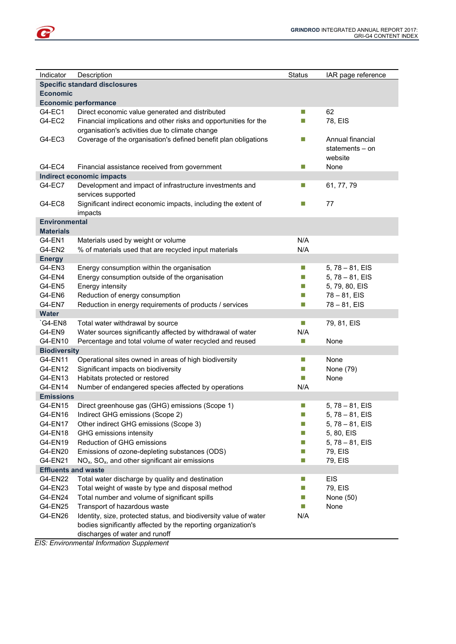| Indicator                  | Description                                                       | <b>Status</b>               | IAR page reference |
|----------------------------|-------------------------------------------------------------------|-----------------------------|--------------------|
|                            | <b>Specific standard disclosures</b>                              |                             |                    |
| <b>Economic</b>            |                                                                   |                             |                    |
|                            | <b>Economic performance</b>                                       |                             |                    |
| G4-EC1                     | Direct economic value generated and distributed                   | П                           | 62                 |
| G4-EC2                     | Financial implications and other risks and opportunities for the  | m,                          | 78, EIS            |
|                            | organisation's activities due to climate change                   |                             |                    |
| G4-EC3                     | Coverage of the organisation's defined benefit plan obligations   | $\mathcal{L}_{\mathcal{A}}$ | Annual financial   |
|                            |                                                                   |                             | statements $-$ on  |
|                            |                                                                   |                             | website            |
| G4-EC4                     | Financial assistance received from government                     | $\mathcal{L}_{\mathcal{A}}$ | None               |
|                            | <b>Indirect economic impacts</b>                                  |                             |                    |
| G4-EC7                     | Development and impact of infrastructure investments and          | $\mathcal{L}_{\mathcal{A}}$ | 61, 77, 79         |
|                            | services supported                                                |                             |                    |
| G4-EC8                     | Significant indirect economic impacts, including the extent of    | m.                          | 77                 |
|                            | impacts                                                           |                             |                    |
| <b>Environmental</b>       |                                                                   |                             |                    |
| <b>Materials</b>           |                                                                   |                             |                    |
| G4-EN1                     | Materials used by weight or volume                                | N/A                         |                    |
| G4-EN2                     | % of materials used that are recycled input materials             | N/A                         |                    |
|                            |                                                                   |                             |                    |
| <b>Energy</b>              |                                                                   |                             |                    |
| G4-EN3                     | Energy consumption within the organisation                        | L.                          | $5, 78 - 81, EIS$  |
| G4-EN4                     | Energy consumption outside of the organisation                    | $\mathcal{L}_{\mathcal{A}}$ | $5, 78 - 81, EIS$  |
| G4-EN5                     | Energy intensity                                                  | m,                          | 5, 79, 80, EIS     |
| G4-EN6                     | Reduction of energy consumption                                   | m,                          | $78 - 81, EIS$     |
| G4-EN7                     | Reduction in energy requirements of products / services           | $\mathcal{L}_{\mathcal{A}}$ | $78 - 81, EIS$     |
| <b>Water</b>               |                                                                   |                             |                    |
| `G4-EN8                    | Total water withdrawal by source                                  | $\mathcal{L}_{\mathcal{A}}$ | 79, 81, EIS        |
| G4-EN9                     | Water sources significantly affected by withdrawal of water       | N/A                         |                    |
| G4-EN10                    | Percentage and total volume of water recycled and reused          | $\mathcal{L}_{\mathcal{A}}$ | None               |
| <b>Biodiversity</b>        |                                                                   |                             |                    |
| G4-EN11                    | Operational sites owned in areas of high biodiversity             | $\mathcal{L}_{\mathcal{A}}$ | None               |
| G4-EN12                    | Significant impacts on biodiversity                               | $\Box$                      | None (79)          |
| G4-EN13                    | Habitats protected or restored                                    | m,                          | None               |
| G4-EN14                    | Number of endangered species affected by operations               | N/A                         |                    |
| <b>Emissions</b>           |                                                                   |                             |                    |
| G4-EN15                    | Direct greenhouse gas (GHG) emissions (Scope 1)                   | $\Box$                      | $5, 78 - 81, EIS$  |
| G4-EN16                    | Indirect GHG emissions (Scope 2)                                  |                             | $5, 78 - 81, EIS$  |
| G4-EN17                    | Other indirect GHG emissions (Scope 3)                            | $\Box$                      | $5, 78 - 81, EIS$  |
| G4-EN18                    | GHG emissions intensity                                           | П                           | 5, 80, EIS         |
| G4-EN19                    | Reduction of GHG emissions                                        | п                           | $5, 78 - 81, EIS$  |
| G4-EN20                    | Emissions of ozone-depleting substances (ODS)                     | $\mathcal{L}_{\mathcal{A}}$ | 79, EIS            |
| G4-EN21                    | $NOx$ , $SOx$ , and other significant air emissions               | $\mathcal{L}_{\mathcal{A}}$ | 79, EIS            |
| <b>Effluents and waste</b> |                                                                   |                             |                    |
| G4-EN22                    | Total water discharge by quality and destination                  | $\mathcal{L}_{\mathcal{A}}$ | <b>EIS</b>         |
| G4-EN23                    | Total weight of waste by type and disposal method                 | $\mathcal{L}_{\mathcal{A}}$ | 79, EIS            |
| G4-EN24                    | Total number and volume of significant spills                     | $\mathcal{L}_{\mathcal{A}}$ | None (50)          |
| G4-EN25                    | Transport of hazardous waste                                      | $\mathcal{L}_{\mathcal{A}}$ | None               |
| G4-EN26                    | Identity, size, protected status, and biodiversity value of water | N/A                         |                    |
|                            | bodies significantly affected by the reporting organization's     |                             |                    |
|                            | discharges of water and runoff                                    |                             |                    |
|                            |                                                                   |                             |                    |

EIS: Environmental Information Supplement

G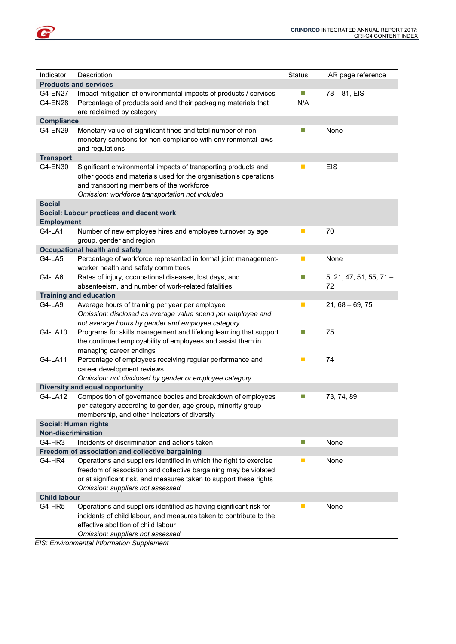| Indicator                   | Description                                                                                                                                                                                                                                      | <b>Status</b>               | IAR page reference              |  |
|-----------------------------|--------------------------------------------------------------------------------------------------------------------------------------------------------------------------------------------------------------------------------------------------|-----------------------------|---------------------------------|--|
|                             | <b>Products and services</b>                                                                                                                                                                                                                     |                             |                                 |  |
| G4-EN27<br>G4-EN28          | Impact mitigation of environmental impacts of products / services<br>Percentage of products sold and their packaging materials that<br>are reclaimed by category                                                                                 | $\mathbb{R}^n$<br>N/A       | $78 - 81$ , EIS                 |  |
| <b>Compliance</b>           |                                                                                                                                                                                                                                                  |                             |                                 |  |
| G4-EN29                     | Monetary value of significant fines and total number of non-<br>monetary sanctions for non-compliance with environmental laws<br>and regulations                                                                                                 | П                           | None                            |  |
| <b>Transport</b>            |                                                                                                                                                                                                                                                  |                             |                                 |  |
| G4-EN30                     | Significant environmental impacts of transporting products and<br>other goods and materials used for the organisation's operations,<br>and transporting members of the workforce<br>Omission: workforce transportation not included              | $\mathbb{R}^n$              | <b>EIS</b>                      |  |
| <b>Social</b>               |                                                                                                                                                                                                                                                  |                             |                                 |  |
| <b>Employment</b>           | Social: Labour practices and decent work                                                                                                                                                                                                         |                             |                                 |  |
| G4-LA1                      | Number of new employee hires and employee turnover by age<br>group, gender and region                                                                                                                                                            | $\mathbb{R}^3$              | 70                              |  |
|                             | <b>Occupational health and safety</b>                                                                                                                                                                                                            |                             |                                 |  |
| G4-LA5                      | Percentage of workforce represented in formal joint management-<br>worker health and safety committees                                                                                                                                           | $\blacksquare$              | None                            |  |
| G4-LA6                      | Rates of injury, occupational diseases, lost days, and<br>absenteeism, and number of work-related fatalities                                                                                                                                     | $\Box$                      | $5, 21, 47, 51, 55, 71 -$<br>72 |  |
|                             | <b>Training and education</b>                                                                                                                                                                                                                    |                             |                                 |  |
| G4-LA9                      | Average hours of training per year per employee                                                                                                                                                                                                  | $\mathbb{R}^n$              | $21,68 - 69,75$                 |  |
|                             | Omission: disclosed as average value spend per employee and<br>not average hours by gender and employee category                                                                                                                                 |                             |                                 |  |
| G4-LA10                     | Programs for skills management and lifelong learning that support<br>the continued employability of employees and assist them in<br>managing career endings                                                                                      | П                           | 75                              |  |
| G4-LA11                     | Percentage of employees receiving regular performance and<br>career development reviews                                                                                                                                                          | $\blacksquare$              | 74                              |  |
|                             | Omission: not disclosed by gender or employee category                                                                                                                                                                                           |                             |                                 |  |
|                             | <b>Diversity and equal opportunity</b>                                                                                                                                                                                                           |                             |                                 |  |
| G4-LA12                     | Composition of governance bodies and breakdown of employees<br>per category according to gender, age group, minority group<br>membership, and other indicators of diversity                                                                      | Ц                           | 73, 74, 89                      |  |
| <b>Social: Human rights</b> |                                                                                                                                                                                                                                                  |                             |                                 |  |
| <b>Non-discrimination</b>   |                                                                                                                                                                                                                                                  |                             |                                 |  |
| G4-HR3                      | Incidents of discrimination and actions taken                                                                                                                                                                                                    | $\mathcal{L}_{\mathcal{A}}$ | None                            |  |
|                             | Freedom of association and collective bargaining                                                                                                                                                                                                 |                             |                                 |  |
| G4-HR4                      | Operations and suppliers identified in which the right to exercise<br>freedom of association and collective bargaining may be violated<br>or at significant risk, and measures taken to support these rights<br>Omission: suppliers not assessed | п                           | None                            |  |
| <b>Child labour</b>         |                                                                                                                                                                                                                                                  |                             |                                 |  |
| G4-HR5                      | Operations and suppliers identified as having significant risk for<br>incidents of child labour, and measures taken to contribute to the<br>effective abolition of child labour<br>Omission: suppliers not assessed                              | ш                           | None                            |  |
|                             | $FIS: Environmental Information Sunnlemant$                                                                                                                                                                                                      |                             |                                 |  |

EIS: Environmental Information Supplement

G